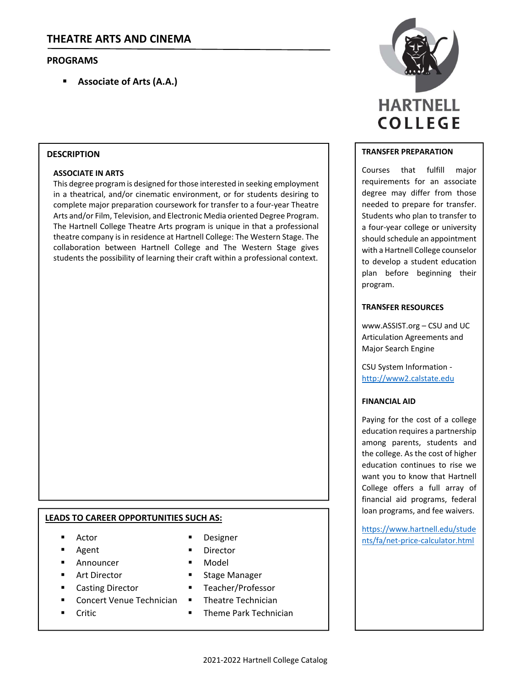# **PROGRAMS**

**Associate of Arts (A.A.)**

#### **DESCRIPTION**

### **ASSOCIATE IN ARTS**

This degree program is designed for those interested in seeking employment in a theatrical, and/or cinematic environment, or for students desiring to complete major preparation coursework for transfer to a four‐year Theatre Arts and/or Film, Television, and Electronic Media oriented Degree Program. The Hartnell College Theatre Arts program is unique in that a professional theatre company is in residence at Hartnell College: The Western Stage. The collaboration between Hartnell College and The Western Stage gives students the possibility of learning their craft within a professional context.

# **LEADS TO CAREER OPPORTUNITIES SUCH AS:**

- Actor
- Agent
- Announcer
- Art Director
- Casting Director
- Concert Venue Technician
- Critic
- 
- Director
- Model
- Stage Manager
- Teacher/Professor
- Theatre Technician
- Theme Park Technician



## **TRANSFER PREPARATION**

Courses that fulfill major requirements for an associate degree may differ from those needed to prepare for transfer. Students who plan to transfer to a four‐year college or university should schedule an appointment with a Hartnell College counselor to develop a student education plan before beginning their program.

# **TRANSFER RESOURCES**

www.ASSIST.org – CSU and UC Articulation Agreements and Major Search Engine

CSU System Information ‐ http://www2.calstate.edu

### **FINANCIAL AID**

Paying for the cost of a college education requires a partnership among parents, students and the college. As the cost of higher education continues to rise we want you to know that Hartnell College offers a full array of financial aid programs, federal loan programs, and fee waivers.

https://www.hartnell.edu/stude Designer **networks** and the price-calculator.html